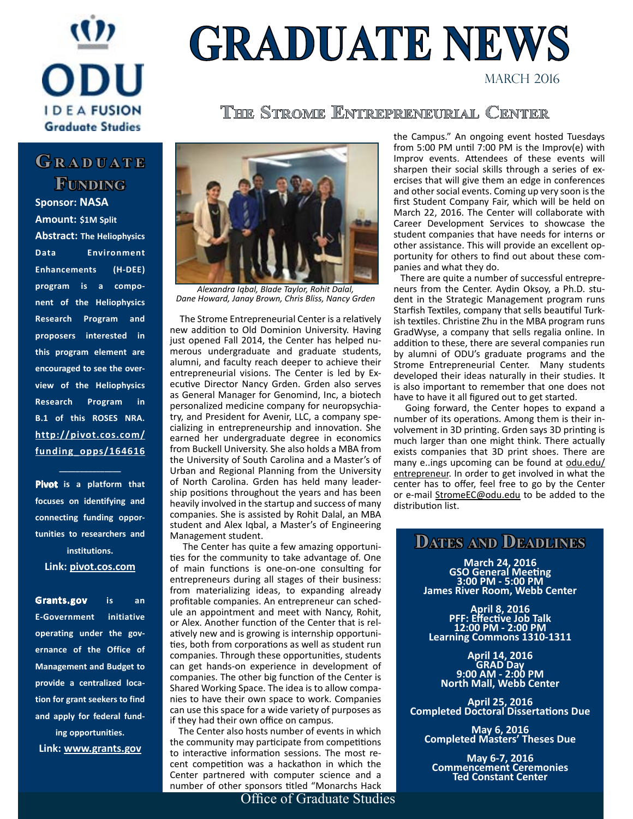## $\overline{1}$ MONTH **IDEAFUSION Graduate Studies**

# **GRADUATE NEWS**

MARCH 2016

#### **The Strome Entrepreneurial Center**

#### GRADUATE **Funding**

**Sponsor: NASA Amount: \$1M Split**

**Abstract: The Heliophysics Data Environment Enhancements (H-DEE) program is a component of the Heliophysics Research Program and proposers interested in this program element are encouraged to see the overview of the Heliophysics Research Program in B.1 of this ROSES NRA. [http://pivot.cos.com/](http://pivot.cos.com/funding_opps/164616) [funding\\_opps/164616](http://pivot.cos.com/funding_opps/164616)**

**Pivot is a platform that focuses on identifying and connecting funding opportunities to researchers and institutions. [Link: pivot.cos.com](http://pivot.cos.com)**

**\_\_\_\_\_\_\_\_\_\_\_\_\_\_\_**

**Grants.gov is an E-Government initiative operating under the governance of the Office of Management and Budget to provide a centralized location for grant seekers to find and apply for federal fund-**

**ing opportunities. [Link: www.grants.gov](http://www.grants.gov)**



*Alexandra Iqbal, Blade Taylor, Rohit Dalal, Dane Howard, Janay Brown, Chris Bliss, Nancy Grden*

 The Strome Entrepreneurial Center is a relatively new addition to Old Dominion University. Having just opened Fall 2014, the Center has helped numerous undergraduate and graduate students, alumni, and faculty reach deeper to achieve their entrepreneurial visions. The Center is led by Executive Director Nancy Grden. Grden also serves as General Manager for Genomind, Inc, a biotech personalized medicine company for neuropsychiatry, and President for Avenir, LLC, a company specializing in entrepreneurship and innovation. She earned her undergraduate degree in economics from Buckell University. She also holds a MBA from the University of South Carolina and a Master's of Urban and Regional Planning from the University of North Carolina. Grden has held many leadership positions throughout the years and has been heavily involved in the startup and success of many companies. She is assisted by Rohit Dalal, an MBA student and Alex Iqbal, a Master's of Engineering Management student.

 The Center has quite a few amazing opportunities for the community to take advantage of. One of main functions is one-on-one consulting for entrepreneurs during all stages of their business: from materializing ideas, to expanding already profitable companies. An entrepreneur can schedule an appointment and meet with Nancy, Rohit, or Alex. Another function of the Center that is relatively new and is growing is internship opportunities, both from corporations as well as student run companies. Through these opportunities, students can get hands-on experience in development of companies. The other big function of the Center is Shared Working Space. The idea is to allow companies to have their own space to work. Companies can use this space for a wide variety of purposes as if they had their own office on campus.

 The Center also hosts number of events in which the community may participate from competitions to interactive information sessions. The most recent competition was a hackathon in which the Center partnered with computer science and a number of other sponsors titled "Monarchs Hack

Office of Graduate Studies

the Campus." An ongoing event hosted Tuesdays from 5:00 PM until 7:00 PM is the Improv(e) with Improv events. Attendees of these events will sharpen their social skills through a series of exercises that will give them an edge in conferences and other social events. Coming up very soon is the first Student Company Fair, which will be held on March 22, 2016. The Center will collaborate with Career Development Services to showcase the student companies that have needs for interns or other assistance. This will provide an excellent opportunity for others to find out about these companies and what they do.

 There are quite a number of successful entrepreneurs from the Center. Aydin Oksoy, a Ph.D. student in the Strategic Management program runs Starfish Textiles, company that sells beautiful Turkish textiles. Christine Zhu in the MBA program runs GradWyse, a company that sells regalia online. In addition to these, there are several companies run by alumni of ODU's graduate programs and the Strome Entrepreneurial Center. Many students developed their ideas naturally in their studies. It is also important to remember that one does not have to have it all figured out to get started.

 Going forward, the Center hopes to expand a number of its operations. Among them is their involvement in 3D printing. Grden says 3D printing is much larger than one might think. There actually exists companies that 3D print shoes. There are many e..ings upcoming can be found at [odu.edu/](odu.edu/entrepreneur) [entrepreneur](odu.edu/entrepreneur). In order to get involved in what the center has to offer, feel free to go by the Center or e-mail [StromeEC@odu.edu](mailto:StromeEC@odu.edu) to be added to the distribution list.

#### **Dates and Deadlines**

**March 24, 2016 GSO General Meeting 3:00 PM - 5:00 PM James River Room, Webb Center**

**April 8, 2016 PFF: Effective Job Talk 12:00 PM - 2:00 PM Learning Commons 1310-1311**

**April 14, 2016 GRAD Day 9:00 AM - 2:00 PM North Mall, Webb Center**

**April 25, 2016 Completed Doctoral Dissertations Due**

**May 6, 2016 Completed Masters' Theses Due**

**May 6-7, 2016 Commencement Ceremonies Ted Constant Center**